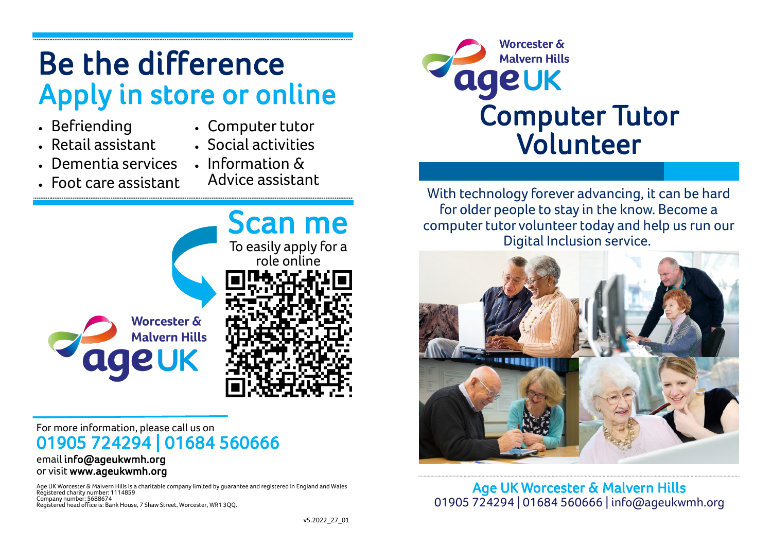# Be the difference Apply in store or online

- Befriending
- Computer tutor
- Retail assistant
- Social activities
- Dementia services

• Foot care assistant

• Information & Advice assistant



#### For more information, please call us on 01905 724294 | 01684 560666 email info@ageukwmh.org

## or visit www.ageukwmh.org

Age UK Worcester & Malvern Hills is a charitable company limited by guarantee and registered in England and Wales Registered charity number: 1114859 Company number: 5688674 Registered head office is: Bank House, 7 Shaw Street, Worcester, WR1 3QQ.



With technology forever advancing, it can be hard for older people to stay in the know. Become a computer tutor volunteer today and help us run our Digital Inclusion service.



Age UK Worcester & Malvern Hills 01905 724294 | 01684 560666 | info@ageukwmh.org